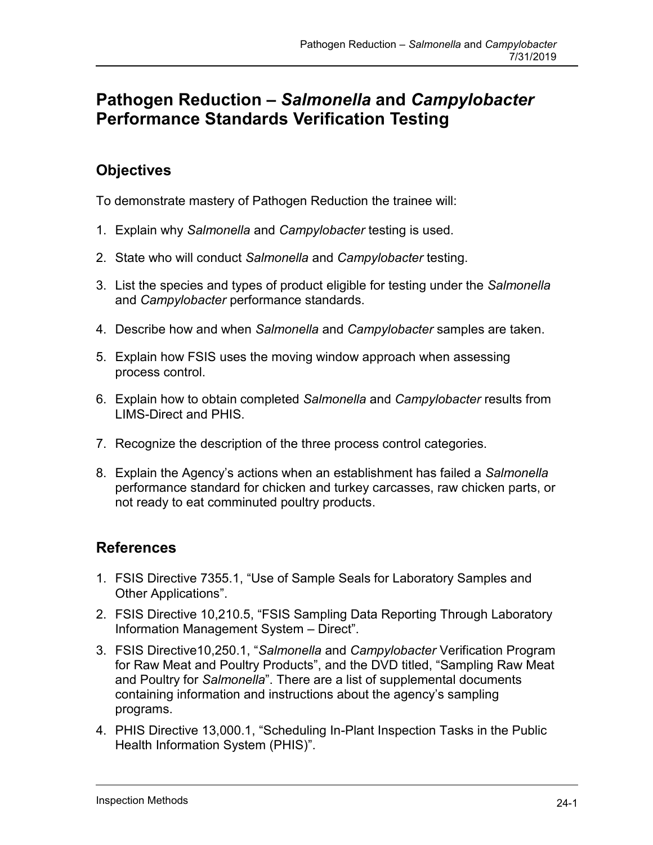# **Pathogen Reduction –** *Salmonella* **and** *Campylobacter* **Performance Standards Verification Testing**

## **Objectives**

To demonstrate mastery of Pathogen Reduction the trainee will:

- 1. Explain why *Salmonella* and *Campylobacter* testing is used.
- 2. State who will conduct *Salmonella* and *Campylobacter* testing.
- 3. List the species and types of product eligible for testing under the *Salmonella*  and *Campylobacter* performance standards.
- 4. Describe how and when *Salmonella* and *Campylobacter* samples are taken.
- 5. Explain how FSIS uses the moving window approach when assessing process control.
- 6. Explain how to obtain completed *Salmonella* and *Campylobacter* results from LIMS-Direct and PHIS.
- 7. Recognize the description of the three process control categories.
- 8. Explain the Agency's actions when an establishment has failed a *Salmonella*  performance standard for chicken and turkey carcasses, raw chicken parts, or not ready to eat comminuted poultry products.

### **References**

- [1. FSIS Directive 7355.1, "Use of Sample Seals for Laboratory Samples and](http://www.fsis.usda.gov/OPPDE/rdad/FSISDirectives/7355.1Rev2.pdf)  [Other Applications"](http://www.fsis.usda.gov/OPPDE/rdad/FSISDirectives/7355.1Rev2.pdf).
- 2. FSIS Directive 10,210.5, "FSIS Sampling Data Reporting Through Laboratory Information Management System – Direct".
- and Poultry for *Salmonella*". There are a list of supplemental documents 3. FSIS Directive10,250.1, "*Salmonella* and *Campylobacter* Verification Program for Raw Meat and Poultry Products", and the DVD titled, "Sampling Raw Meat containing information and instructions about the agency's sampling programs.
- 4. PHIS Directive 13,000.1, "Scheduling In-Plant Inspection Tasks in the Public Health Information System (PHIS)".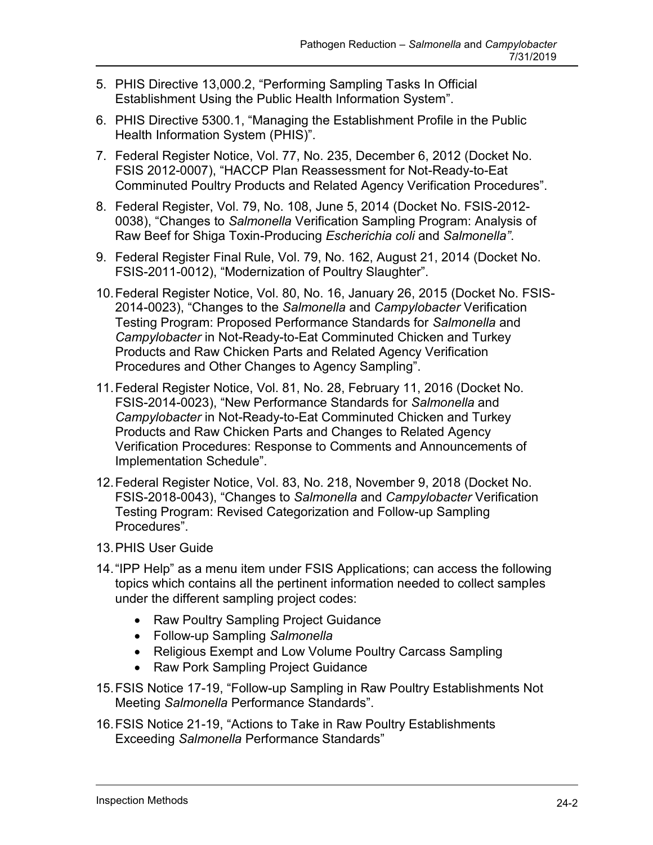- 5. PHIS Directive 13,000.2, "Performing Sampling Tasks In Official Establishment Using the Public Health Information System".
- 6. PHIS Directive 5300.1, "Managing the Establishment Profile in the Public Health Information System (PHIS)".
- 7. Federal Register Notice, Vol. 77, No. 235, December 6, 2012 (Docket No. FSIS 2012-0007), "HACCP Plan Reassessment for Not-Ready-to-Eat Comminuted Poultry Products and Related Agency Verification Procedures".
- 8. Federal Register, Vol. 79, No. 108, June 5, 2014 (Docket No. FSIS-2012- 0038), "Changes to *Salmonella* Verification Sampling Program: Analysis of Raw Beef for Shiga Toxin-Producing *Escherichia coli* and *Salmonella"*.
- 9. Federal Register Final Rule, Vol. 79, No. 162, August 21, 2014 (Docket No. FSIS-2011-0012), "Modernization of Poultry Slaughter".
- *Campylobacter* in Not-Ready-to-Eat Comminuted Chicken and Turkey 10.Federal Register Notice, Vol. 80, No. 16, January 26, 2015 (Docket No. FSIS-2014-0023), "Changes to the *Salmonella* and *Campylobacter* Verification Testing Program: Proposed Performance Standards for *Salmonella* and Products and Raw Chicken Parts and Related Agency Verification Procedures and Other Changes to Agency Sampling".
- *Campylobacter* in Not-Ready-to-Eat Comminuted Chicken and Turkey 11.Federal Register Notice, Vol. 81, No. 28, February 11, 2016 (Docket No. FSIS-2014-0023), "New Performance Standards for *Salmonella* and Products and Raw Chicken Parts and Changes to Related Agency Verification Procedures: Response to Comments and Announcements of Implementation Schedule".
- 12.Federal Register Notice, Vol. 83, No. 218, November 9, 2018 (Docket No. FSIS-2018-0043), "Changes to *Salmonella* and *Campylobacter* Verification Testing Program: Revised Categorization and Follow-up Sampling Procedures".
- 13.PHIS User Guide
- 14."IPP Help" as a menu item under FSIS Applications; can access the following topics which contains all the pertinent information needed to collect samples under the different sampling project codes:
	- Raw Poultry Sampling Project Guidance
	- Follow-up Sampling *Salmonella*
	- Religious Exempt and Low Volume Poultry Carcass Sampling
	- Raw Pork Sampling Project Guidance
- 15.FSIS Notice 17-19, "Follow-up Sampling in Raw Poultry Establishments Not Meeting *Salmonella* Performance Standards".
- 16.FSIS Notice 21-19, "Actions to Take in Raw Poultry Establishments Exceeding *Salmonella* Performance Standards"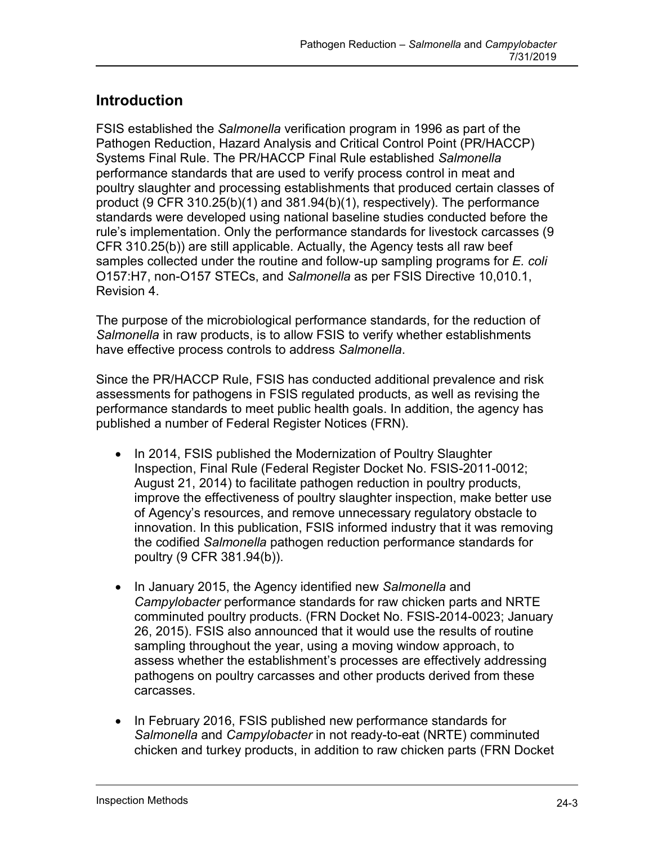## **Introduction**

FSIS established the *Salmonella* verification program in 1996 as part of the Pathogen Reduction, Hazard Analysis and Critical Control Point (PR/HACCP) Systems Final Rule. The PR/HACCP Final Rule established *Salmonella*  performance standards that are used to verify process control in meat and poultry slaughter and processing establishments that produced certain classes of product (9 CFR 310.25(b)(1) and 381.94(b)(1), respectively). The performance standards were developed using national baseline studies conducted before the rule's implementation. Only the performance standards for livestock carcasses (9 CFR 310.25(b)) are still applicable. Actually, the Agency tests all raw beef samples collected under the routine and follow-up sampling programs for *E. coli*  O157:H7, non-O157 STECs, and *Salmonella* as per FSIS Directive 10,010.1, Revision 4.

The purpose of the microbiological performance standards, for the reduction of *Salmonella* in raw products, is to allow FSIS to verify whether establishments have effective process controls to address *Salmonella*.

 performance standards to meet public health goals. In addition, the agency has Since the PR/HACCP Rule, FSIS has conducted additional prevalence and risk assessments for pathogens in FSIS regulated products, as well as revising the published a number of Federal Register Notices (FRN).

- In 2014, FSIS published the Modernization of Poultry Slaughter Inspection, Final Rule (Federal Register Docket No. FSIS-2011-0012; August 21, 2014) to facilitate pathogen reduction in poultry products, improve the effectiveness of poultry slaughter inspection, make better use of Agency's resources, and remove unnecessary regulatory obstacle to innovation. In this publication, FSIS informed industry that it was removing the codified *Salmonella* pathogen reduction performance standards for poultry (9 CFR 381.94(b)).
- In January 2015, the Agency identified new *Salmonella* and *Campylobacter* performance standards for raw chicken parts and NRTE pathogens on poultry carcasses and other products derived from these comminuted poultry products. (FRN Docket No. FSIS-2014-0023; January 26, 2015). FSIS also announced that it would use the results of routine sampling throughout the year, using a moving window approach, to assess whether the establishment's processes are effectively addressing carcasses.
- chicken and turkey products, in addition to raw chicken parts (FRN Docket • In February 2016, FSIS published new performance standards for *Salmonella* and *Campylobacter* in not ready-to-eat (NRTE) comminuted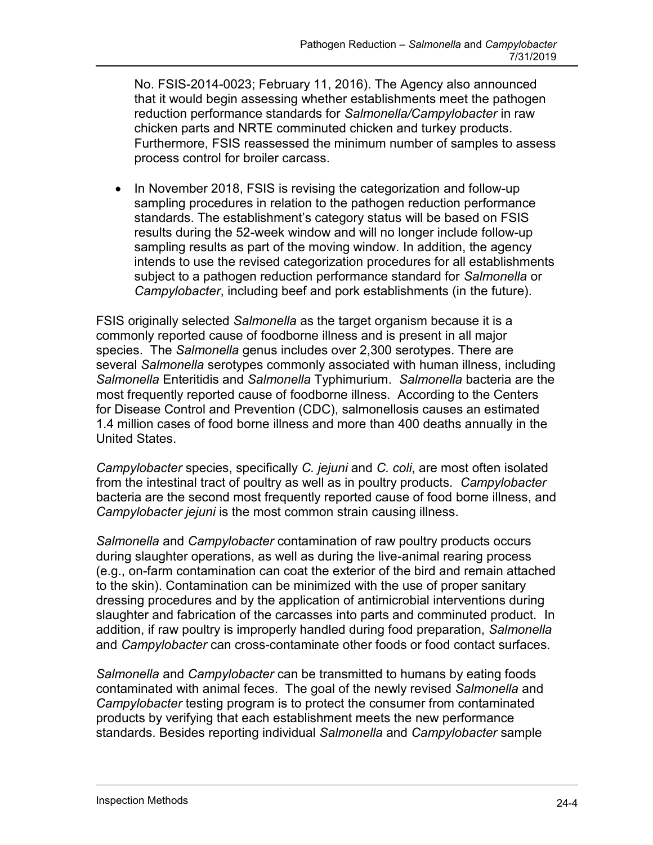that it would begin assessing whether establishments meet the pathogen No. FSIS-2014-0023; February 11, 2016). The Agency also announced reduction performance standards for *Salmonella/Campylobacter* in raw chicken parts and NRTE comminuted chicken and turkey products. Furthermore, FSIS reassessed the minimum number of samples to assess process control for broiler carcass.

 standards. The establishment's category status will be based on FSIS sampling results as part of the moving window. In addition, the agency subject to a pathogen reduction performance standard for *Salmonella* or • In November 2018, FSIS is revising the categorization and follow-up sampling procedures in relation to the pathogen reduction performance results during the 52-week window and will no longer include follow-up intends to use the revised categorization procedures for all establishments *Campylobacter*, including beef and pork establishments (in the future).

 FSIS originally selected *Salmonella* as the target organism because it is a most frequently reported cause of foodborne illness. According to the Centers commonly reported cause of foodborne illness and is present in all major species. The *Salmonella* genus includes over 2,300 serotypes. There are several *Salmonella* serotypes commonly associated with human illness, including *Salmonella* Enteritidis and *Salmonella* Typhimurium. *Salmonella* bacteria are the for Disease Control and Prevention (CDC), salmonellosis causes an estimated 1.4 million cases of food borne illness and more than 400 deaths annually in the United States.

 from the intestinal tract of poultry as well as in poultry products. *Campylobacter*  bacteria are the second most frequently reported cause of food borne illness, and *Campylobacter* species, specifically *C. jejuni* and *C. coli*, are most often isolated *Campylobacter jejuni* is the most common strain causing illness.

 to the skin). Contamination can be minimized with the use of proper sanitary slaughter and fabrication of the carcasses into parts and comminuted product. In *Salmonella* and *Campylobacter* contamination of raw poultry products occurs during slaughter operations, as well as during the live-animal rearing process (e.g., on-farm contamination can coat the exterior of the bird and remain attached dressing procedures and by the application of antimicrobial interventions during addition, if raw poultry is improperly handled during food preparation, *Salmonella*  and *Campylobacter* can cross-contaminate other foods or food contact surfaces.

*Salmonella* and *Campylobacter* can be transmitted to humans by eating foods contaminated with animal feces. The goal of the newly revised *Salmonella* and *Campylobacter* testing program is to protect the consumer from contaminated products by verifying that each establishment meets the new performance standards. Besides reporting individual *Salmonella* and *Campylobacter* sample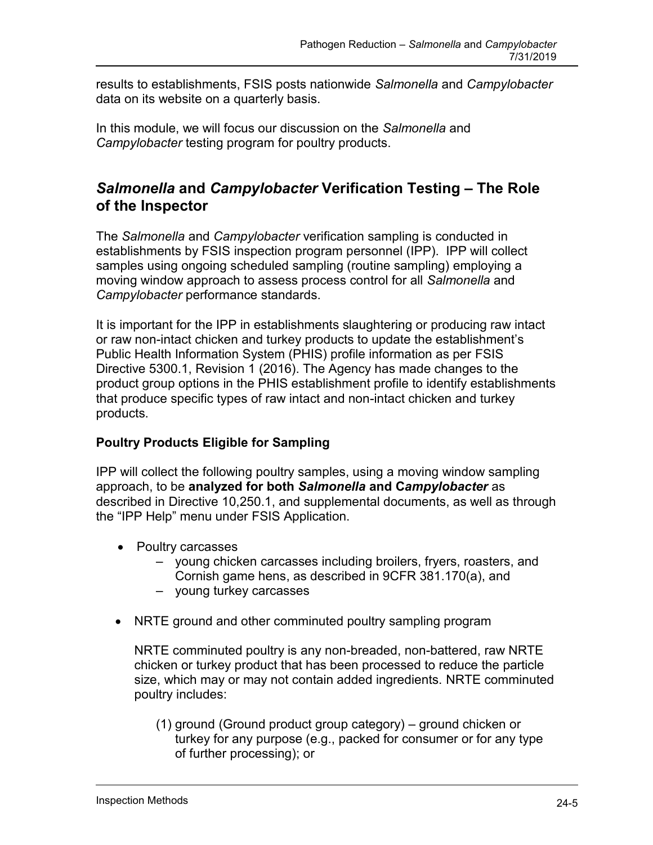results to establishments, FSIS posts nationwide *Salmonella* and *Campylobacter*  data on its website on a quarterly basis.

 In this module, we will focus our discussion on the *Salmonella* and *Campylobacter* testing program for poultry products.

### *Salmonella* **and** *Campylobacter* **Verification Testing – The Role of the Inspector**

 establishments by FSIS inspection program personnel (IPP). IPP will collect The *Salmonella* and *Campylobacter* verification sampling is conducted in samples using ongoing scheduled sampling (routine sampling) employing a moving window approach to assess process control for all *Salmonella* and *Campylobacter* performance standards.

It is important for the IPP in establishments slaughtering or producing raw intact or raw non-intact chicken and turkey products to update the establishment's Public Health Information System (PHIS) profile information as per FSIS Directive 5300.1, Revision 1 (2016). The Agency has made changes to the product group options in the PHIS establishment profile to identify establishments that produce specific types of raw intact and non-intact chicken and turkey products.

### **Poultry Products Eligible for Sampling**

IPP will collect the following poultry samples, using a moving window sampling approach, to be **analyzed for both** *Salmonella* **and C***ampylobacter* as described in Directive 10,250.1, and supplemental documents, as well as through the "IPP Help" menu under FSIS Application.

- Poultry carcasses
	- young chicken carcasses including broilers, fryers, roasters, and Cornish game hens, as described in 9CFR 381.170(a), and
	- young turkey carcasses
- NRTE ground and other comminuted poultry sampling program

 chicken or turkey product that has been processed to reduce the particle NRTE comminuted poultry is any non-breaded, non-battered, raw NRTE size, which may or may not contain added ingredients. NRTE comminuted poultry includes:

(1) ground (Ground product group category) – ground chicken or turkey for any purpose (e.g., packed for consumer or for any type of further processing); or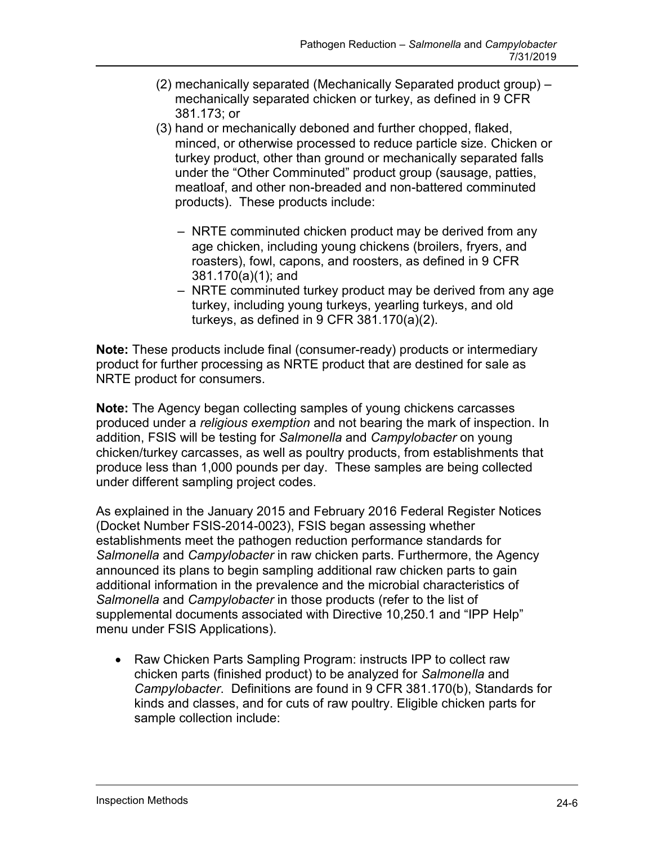- (2) mechanically separated (Mechanically Separated product group) mechanically separated chicken or turkey, as defined in 9 CFR 381.173; or
- products). These products include: (3) hand or mechanically deboned and further chopped, flaked, minced, or otherwise processed to reduce particle size. Chicken or turkey product, other than ground or mechanically separated falls under the "Other Comminuted" product group (sausage, patties, meatloaf, and other non-breaded and non-battered comminuted
	- NRTE comminuted chicken product may be derived from any age chicken, including young chickens (broilers, fryers, and roasters), fowl, capons, and roosters, as defined in 9 CFR 381.170(a)(1); and
	- – NRTE comminuted turkey product may be derived from any age turkey, including young turkeys, yearling turkeys, and old turkeys, as defined in 9 CFR 381.170(a)(2).

**Note:** These products include final (consumer-ready) products or intermediary product for further processing as NRTE product that are destined for sale as NRTE product for consumers.

 produced under a *religious exemption* and not bearing the mark of inspection. In addition, FSIS will be testing for *Salmonella* and *Campylobacter* on young produce less than 1,000 pounds per day. These samples are being collected **Note:** The Agency began collecting samples of young chickens carcasses chicken/turkey carcasses, as well as poultry products, from establishments that under different sampling project codes.

As explained in the January 2015 and February 2016 Federal Register Notices (Docket Number FSIS-2014-0023), FSIS began assessing whether establishments meet the pathogen reduction performance standards for *Salmonella* and *Campylobacter* in raw chicken parts. Furthermore, the Agency announced its plans to begin sampling additional raw chicken parts to gain additional information in the prevalence and the microbial characteristics of *Salmonella* and *Campylobacter* in those products (refer to the list of supplemental documents associated with Directive 10,250.1 and "IPP Help" menu under FSIS Applications).

 chicken parts (finished product) to be analyzed for *Salmonella* and • Raw Chicken Parts Sampling Program: instructs IPP to collect raw *Campylobacter*. Definitions are found in 9 CFR 381.170(b), Standards for kinds and classes, and for cuts of raw poultry. Eligible chicken parts for sample collection include: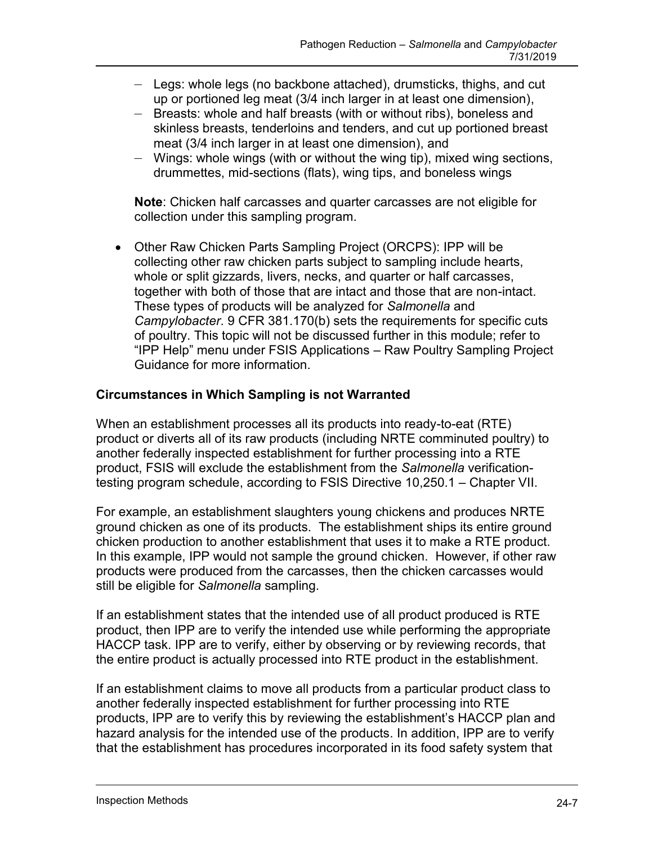- Legs: whole legs (no backbone attached), drumsticks, thighs, and cut up or portioned leg meat (3/4 inch larger in at least one dimension),
- Breasts: whole and half breasts (with or without ribs), boneless and skinless breasts, tenderloins and tenders, and cut up portioned breast meat (3/4 inch larger in at least one dimension), and
- Wings: whole wings (with or without the wing tip), mixed wing sections, drummettes, mid-sections (flats), wing tips, and boneless wings

**Note**: Chicken half carcasses and quarter carcasses are not eligible for collection under this sampling program.

 Other Raw Chicken Parts Sampling Project (ORCPS): IPP will be collecting other raw chicken parts subject to sampling include hearts, whole or split gizzards, livers, necks, and quarter or half carcasses, together with both of those that are intact and those that are non-intact. These types of products will be analyzed for *Salmonella* and *Campylobacter*. 9 CFR 381.170(b) sets the requirements for specific cuts of poultry. This topic will not be discussed further in this module; refer to "IPP Help" menu under FSIS Applications – Raw Poultry Sampling Project Guidance for more information.

### **Circumstances in Which Sampling is not Warranted**

When an establishment processes all its products into ready-to-eat (RTE) product or diverts all of its raw products (including NRTE comminuted poultry) to another federally inspected establishment for further processing into a RTE product, FSIS will exclude the establishment from the *Salmonella* verificationtesting program schedule, according to FSIS Directive 10,250.1 – Chapter VII.

 chicken production to another establishment that uses it to make a RTE product. For example, an establishment slaughters young chickens and produces NRTE ground chicken as one of its products. The establishment ships its entire ground In this example, IPP would not sample the ground chicken. However, if other raw products were produced from the carcasses, then the chicken carcasses would still be eligible for *Salmonella* sampling.

If an establishment states that the intended use of all product produced is RTE product, then IPP are to verify the intended use while performing the appropriate HACCP task. IPP are to verify, either by observing or by reviewing records, that the entire product is actually processed into RTE product in the establishment.

 another federally inspected establishment for further processing into RTE products, IPP are to verify this by reviewing the establishment's HACCP plan and If an establishment claims to move all products from a particular product class to hazard analysis for the intended use of the products. In addition, IPP are to verify that the establishment has procedures incorporated in its food safety system that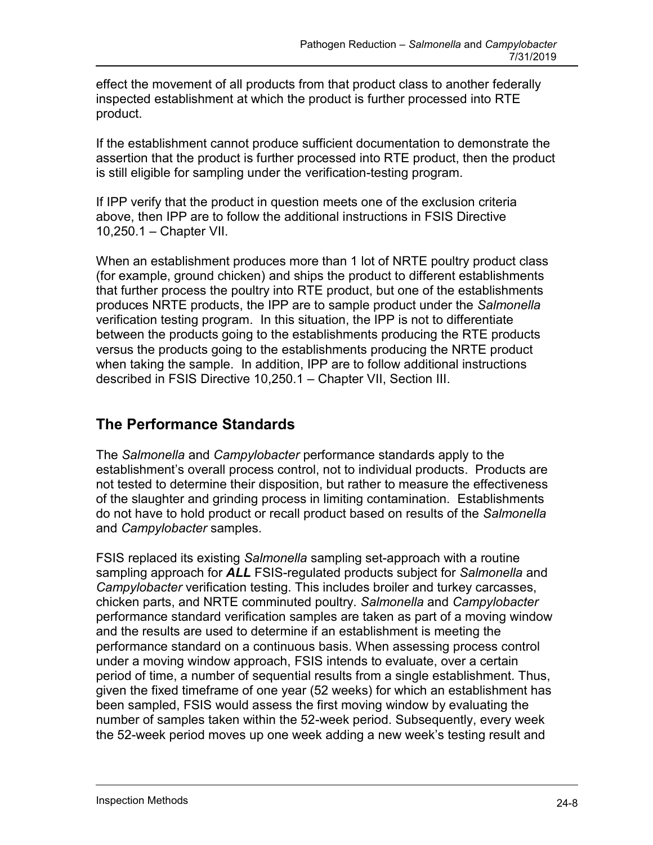effect the movement of all products from that product class to another federally inspected establishment at which the product is further processed into RTE product.

 If the establishment cannot produce sufficient documentation to demonstrate the assertion that the product is further processed into RTE product, then the product is still eligible for sampling under the verification-testing program.

 If IPP verify that the product in question meets one of the exclusion criteria above, then IPP are to follow the additional instructions in FSIS Directive 10,250.1 – Chapter VII.

 verification testing program. In this situation, the IPP is not to differentiate when taking the sample. In addition, IPP are to follow additional instructions When an establishment produces more than 1 lot of NRTE poultry product class (for example, ground chicken) and ships the product to different establishments that further process the poultry into RTE product, but one of the establishments produces NRTE products, the IPP are to sample product under the *Salmonella*  between the products going to the establishments producing the RTE products versus the products going to the establishments producing the NRTE product described in FSIS Directive 10,250.1 – Chapter VII, Section III.

## **The Performance Standards**

and Campylobacter samples. The *Salmonella* and *Campylobacter* performance standards apply to the establishment's overall process control, not to individual products. Products are not tested to determine their disposition, but rather to measure the effectiveness of the slaughter and grinding process in limiting contamination. Establishments do not have to hold product or recall product based on results of the *Salmonella* 

 performance standard verification samples are taken as part of a moving window given the fixed timeframe of one year (52 weeks) for which an establishment has FSIS replaced its existing *Salmonella* sampling set-approach with a routine sampling approach for *ALL* FSIS-regulated products subject for *Salmonella* and *Campylobacter* verification testing. This includes broiler and turkey carcasses, chicken parts, and NRTE comminuted poultry. *Salmonella* and *Campylobacter*  and the results are used to determine if an establishment is meeting the performance standard on a continuous basis. When assessing process control under a moving window approach, FSIS intends to evaluate, over a certain period of time, a number of sequential results from a single establishment. Thus, been sampled, FSIS would assess the first moving window by evaluating the number of samples taken within the 52-week period. Subsequently, every week the 52-week period moves up one week adding a new week's testing result and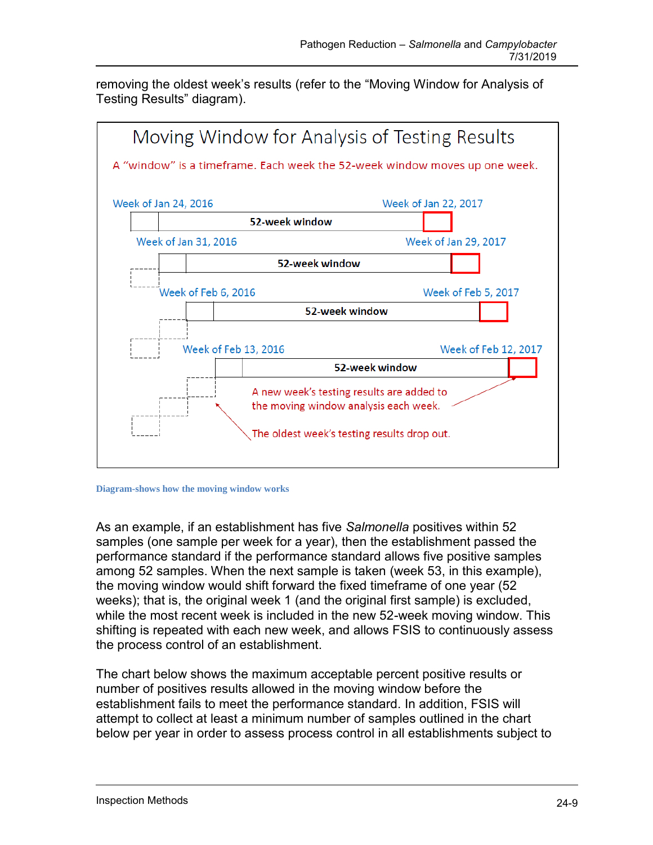removing the oldest week's results (refer to the "Moving Window for Analysis of Testing Results" diagram).





 among 52 samples. When the next sample is taken (week 53, in this example), the moving window would shift forward the fixed timeframe of one year (52 weeks); that is, the original week 1 (and the original first sample) is excluded, As an example, if an establishment has five *Salmonella* positives within 52 samples (one sample per week for a year), then the establishment passed the performance standard if the performance standard allows five positive samples while the most recent week is included in the new 52-week moving window. This shifting is repeated with each new week, and allows FSIS to continuously assess the process control of an establishment.

 number of positives results allowed in the moving window before the The chart below shows the maximum acceptable percent positive results or establishment fails to meet the performance standard. In addition, FSIS will attempt to collect at least a minimum number of samples outlined in the chart below per year in order to assess process control in all establishments subject to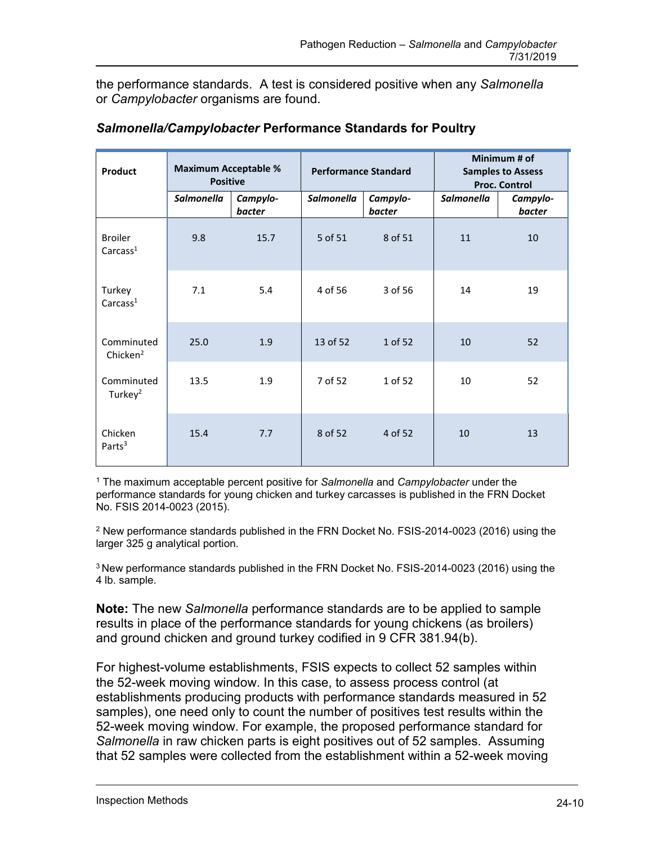the performance standards. A test is considered positive when any *Salmonella*  or *Campylobacter* organisms are found.

| Product                                | <b>Maximum Acceptable %</b><br><b>Positive</b> |                    | <b>Performance Standard</b> |                    |                   | Minimum # of<br><b>Samples to Assess</b><br><b>Proc. Control</b> |
|----------------------------------------|------------------------------------------------|--------------------|-----------------------------|--------------------|-------------------|------------------------------------------------------------------|
|                                        | Salmonella                                     | Campylo-<br>bacter | Salmonella                  | Campylo-<br>bacter | <b>Salmonella</b> | Campylo-<br>bacter                                               |
| <b>Broiler</b><br>Carcass <sup>1</sup> | 9.8                                            | 15.7               | 5 of 51                     | 8 of 51            | 11                | 10                                                               |
| Turkey<br>Carcass <sup>1</sup>         | 7.1                                            | 5.4                | 4 of 56                     | 3 of 56            | 14                | 19                                                               |
| Comminuted<br>Chicken <sup>2</sup>     | 25.0                                           | 1.9                | 13 of 52                    | 1 of 52            | 10                | 52                                                               |
| Comminuted<br>Turkey $2$               | 13.5                                           | 1.9                | 7 of 52                     | 1 of 52            | 10                | 52                                                               |
| Chicken<br>Parts <sup>3</sup>          | 15.4                                           | 7.7                | 8 of 52                     | 4 of 52            | 10                | 13                                                               |

#### *Salmonella/Campylobacter* **Performance Standards for Poultry**

1 The maximum acceptable percent positive for *Salmonella* and *Campylobacter* under the performance standards for young chicken and turkey carcasses is published in the FRN Docket No. FSIS 2014-0023 (2015).

 $2$  New performance standards published in the FRN Docket No. FSIS-2014-0023 (2016) using the larger 325 g analytical portion.

3 New performance standards published in the FRN Docket No. FSIS-2014-0023 (2016) using the 4 lb. sample.

 results in place of the performance standards for young chickens (as broilers) **Note:** The new *Salmonella* performance standards are to be applied to sample and ground chicken and ground turkey codified in 9 CFR 381.94(b).

 establishments producing products with performance standards measured in 52 *Salmonella* in raw chicken parts is eight positives out of 52 samples. Assuming For highest-volume establishments, FSIS expects to collect 52 samples within the 52-week moving window. In this case, to assess process control (at samples), one need only to count the number of positives test results within the 52-week moving window. For example, the proposed performance standard for that 52 samples were collected from the establishment within a 52-week moving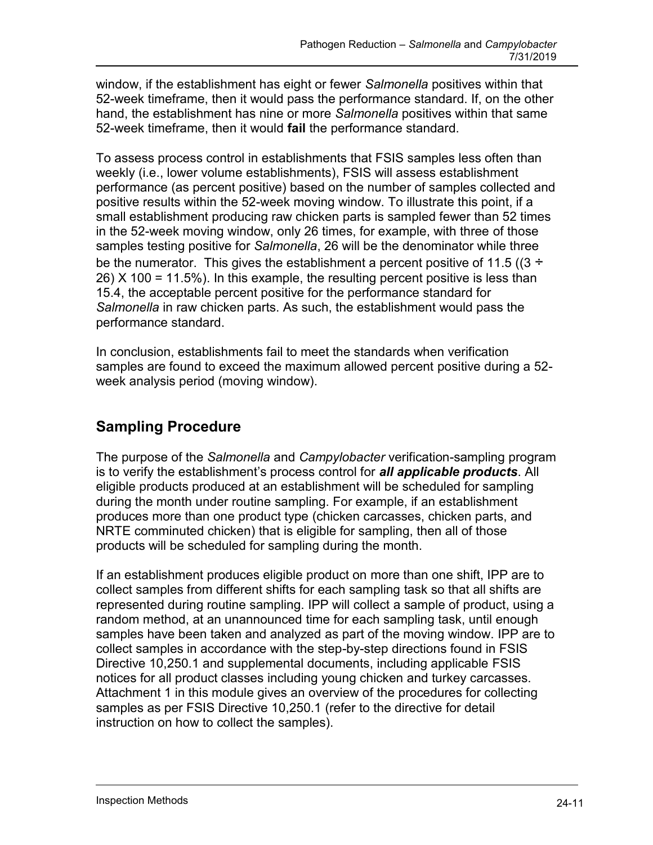window, if the establishment has eight or fewer *Salmonella* positives within that 52-week timeframe, then it would pass the performance standard. If, on the other hand, the establishment has nine or more *Salmonella* positives within that same 52-week timeframe, then it would **fail** the performance standard.

 performance (as percent positive) based on the number of samples collected and small establishment producing raw chicken parts is sampled fewer than 52 times be the numerator. This gives the establishment a percent positive of 11.5 ((3  $\div$  15.4, the acceptable percent positive for the performance standard for To assess process control in establishments that FSIS samples less often than weekly (i.e., lower volume establishments), FSIS will assess establishment positive results within the 52-week moving window. To illustrate this point, if a in the 52-week moving window, only 26 times, for example, with three of those samples testing positive for *Salmonella*, 26 will be the denominator while three 26) X 100 = 11.5%). In this example, the resulting percent positive is less than *Salmonella* in raw chicken parts. As such, the establishment would pass the performance standard.

 samples are found to exceed the maximum allowed percent positive during a 52- In conclusion, establishments fail to meet the standards when verification week analysis period (moving window).

# **Sampling Procedure**

 produces more than one product type (chicken carcasses, chicken parts, and NRTE comminuted chicken) that is eligible for sampling, then all of those The purpose of the *Salmonella* and *Campylobacter* verification-sampling program is to verify the establishment's process control for *all applicable products*. All eligible products produced at an establishment will be scheduled for sampling during the month under routine sampling. For example, if an establishment products will be scheduled for sampling during the month.

 If an establishment produces eligible product on more than one shift, IPP are to samples have been taken and analyzed as part of the moving window. IPP are to instruction on how to collect the samples). collect samples from different shifts for each sampling task so that all shifts are represented during routine sampling. IPP will collect a sample of product, using a random method, at an unannounced time for each sampling task, until enough collect samples in accordance with the step-by-step directions found in FSIS Directive 10,250.1 and supplemental documents, including applicable FSIS notices for all product classes including young chicken and turkey carcasses. Attachment 1 in this module gives an overview of the procedures for collecting samples as per FSIS Directive 10,250.1 (refer to the directive for detail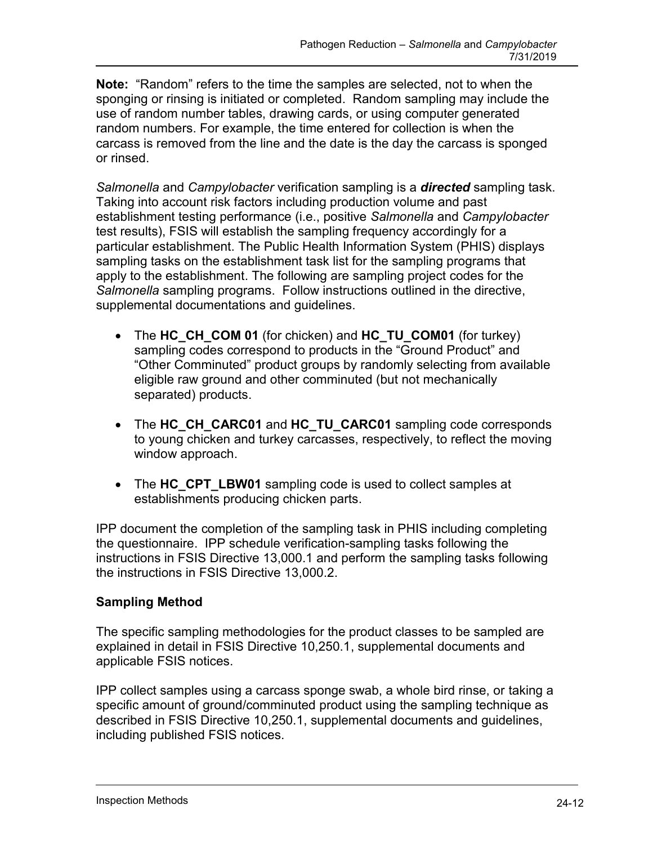**Note:** "Random" refers to the time the samples are selected, not to when the carcass is removed from the line and the date is the day the carcass is sponged sponging or rinsing is initiated or completed. Random sampling may include the use of random number tables, drawing cards, or using computer generated random numbers. For example, the time entered for collection is when the or rinsed.

*Salmonella* and *Campylobacter* verification sampling is a *directed* sampling task.<br>Taking into account risk factors including production volume and past establishment testing performance (i.e., positive *Salmonella* and *Campylobacter*  test results), FSIS will establish the sampling frequency accordingly for a particular establishment. The Public Health Information System (PHIS) displays sampling tasks on the establishment task list for the sampling programs that apply to the establishment. The following are sampling project codes for the *Salmonella* sampling programs. Follow instructions outlined in the directive, supplemental documentations and guidelines.

- The HC CH COM 01 (for chicken) and HC TU COM01 (for turkey) sampling codes correspond to products in the "Ground Product" and "Other Comminuted" product groups by randomly selecting from available eligible raw ground and other comminuted (but not mechanically separated) products.
- to young chicken and turkey carcasses, respectively, to reflect the moving • The HC CH CARC01 and HC TU CARC01 sampling code corresponds window approach.
- The HC CPT LBW01 sampling code is used to collect samples at establishments producing chicken parts.

 the questionnaire. IPP schedule verification-sampling tasks following the IPP document the completion of the sampling task in PHIS including completing instructions in FSIS Directive 13,000.1 and perform the sampling tasks following the instructions in FSIS Directive 13,000.2.

### **Sampling Method**

The specific sampling methodologies for the product classes to be sampled are explained in detail in FSIS Directive 10,250.1, supplemental documents and applicable FSIS notices.

including published FSIS notices. IPP collect samples using a carcass sponge swab, a whole bird rinse, or taking a specific amount of ground/comminuted product using the sampling technique as described in FSIS Directive 10,250.1, supplemental documents and guidelines, including published FSIS notices.<br>Inspection Methods 24-12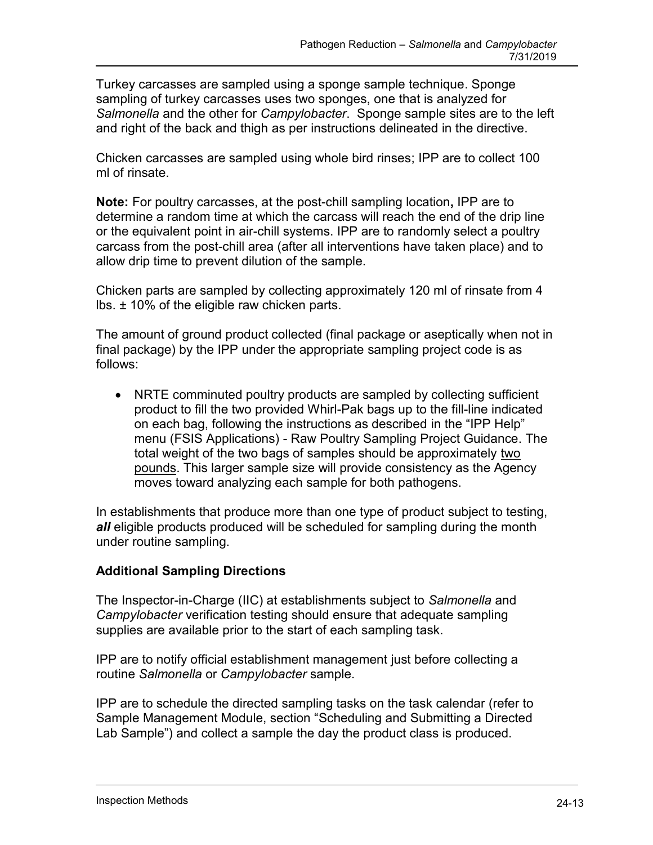Turkey carcasses are sampled using a sponge sample technique. Sponge sampling of turkey carcasses uses two sponges, one that is analyzed for *Salmonella* and the other for *Campylobacter*. Sponge sample sites are to the left and right of the back and thigh as per instructions delineated in the directive.

 Chicken carcasses are sampled using whole bird rinses; IPP are to collect 100 ml of rinsate.

 **Note:** For poultry carcasses, at the post-chill sampling location**,** IPP are to allow drip time to prevent dilution of the sample. determine a random time at which the carcass will reach the end of the drip line or the equivalent point in air-chill systems. IPP are to randomly select a poultry carcass from the post-chill area (after all interventions have taken place) and to

 Chicken parts are sampled by collecting approximately 120 ml of rinsate from 4 lbs. ± 10% of the eligible raw chicken parts.

 final package) by the IPP under the appropriate sampling project code is as The amount of ground product collected (final package or aseptically when not in follows:

 product to fill the two provided Whirl-Pak bags up to the fill-line indicated pounds. This larger sample size will provide consistency as the Agency NRTE comminuted poultry products are sampled by collecting sufficient on each bag, following the instructions as described in the "IPP Help" menu (FSIS Applications) - Raw Poultry Sampling Project Guidance. The total weight of the two bags of samples should be approximately two moves toward analyzing each sample for both pathogens.

 *all* eligible products produced will be scheduled for sampling during the month In establishments that produce more than one type of product subject to testing, under routine sampling.

### **Additional Sampling Directions**

supplies are available prior to the start of each sampling task. The Inspector-in-Charge (IIC) at establishments subject to *Salmonella* and *Campylobacter* verification testing should ensure that adequate sampling

IPP are to notify official establishment management just before collecting a routine *Salmonella* or *Campylobacter* sample.

IPP are to schedule the directed sampling tasks on the task calendar (refer to Sample Management Module, section "Scheduling and Submitting a Directed Lab Sample") and collect a sample the day the product class is produced.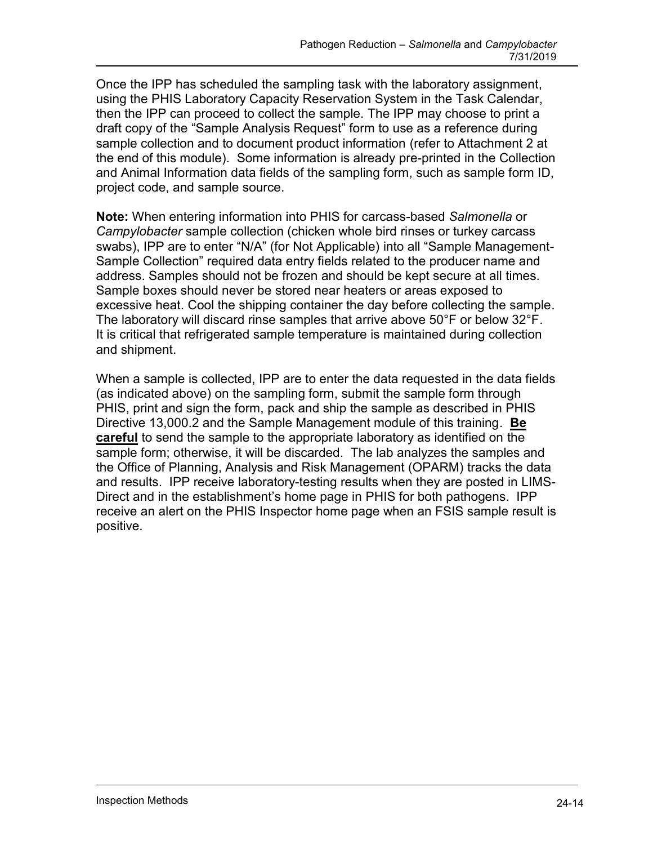Once the IPP has scheduled the sampling task with the laboratory assignment, using the PHIS Laboratory Capacity Reservation System in the Task Calendar, then the IPP can proceed to collect the sample. The IPP may choose to print a the end of this module). Some information is already pre-printed in the Collection project code, and sample source. draft copy of the "Sample Analysis Request" form to use as a reference during sample collection and to document product information (refer to Attachment 2 at and Animal Information data fields of the sampling form, such as sample form ID,

 Sample Collection" required data entry fields related to the producer name and **Note:** When entering information into PHIS for carcass-based *Salmonella* or *Campylobacter* sample collection (chicken whole bird rinses or turkey carcass swabs), IPP are to enter "N/A" (for Not Applicable) into all "Sample Managementaddress. Samples should not be frozen and should be kept secure at all times. Sample boxes should never be stored near heaters or areas exposed to excessive heat. Cool the shipping container the day before collecting the sample. The laboratory will discard rinse samples that arrive above  $50^{\circ}$ F or below  $32^{\circ}$ F. It is critical that refrigerated sample temperature is maintained during collection and shipment.

 (as indicated above) on the sampling form, submit the sample form through Directive 13,000.2 and the Sample Management module of this training. **Be**  the Office of Planning, Analysis and Risk Management (OPARM) tracks the data receive an alert on the PHIS Inspector home page when an FSIS sample result is When a sample is collected, IPP are to enter the data requested in the data fields PHIS, print and sign the form, pack and ship the sample as described in PHIS **careful** to send the sample to the appropriate laboratory as identified on the sample form; otherwise, it will be discarded. The lab analyzes the samples and and results. IPP receive laboratory-testing results when they are posted in LIMS-Direct and in the establishment's home page in PHIS for both pathogens. IPP positive.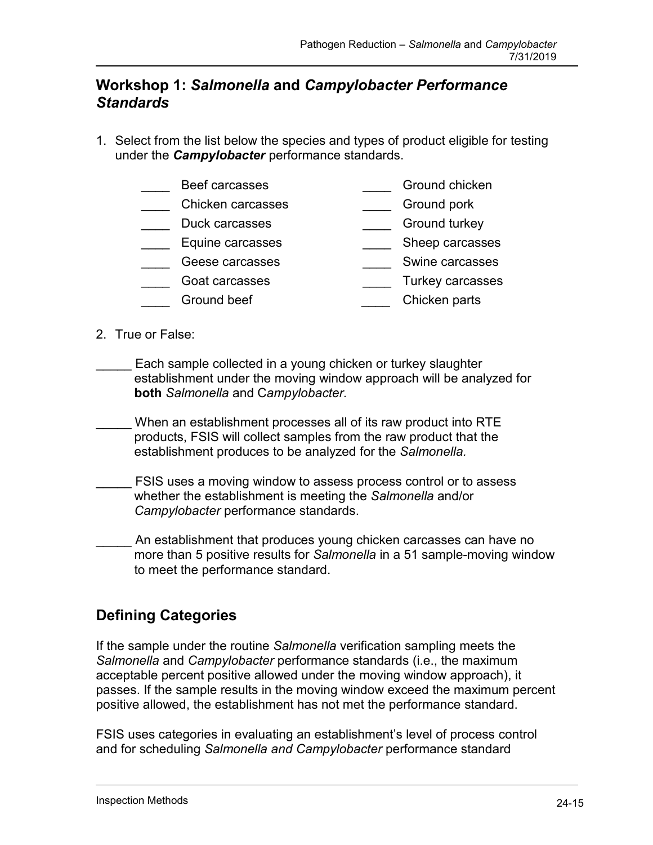### **Workshop 1:** *Salmonella* **and** *Campylobacter Performance Standards*

 1. Select from the list below the species and types of product eligible for testing under the *Campylobacter* performance standards.

| Beef carcasses    | Ground chicken |
|-------------------|----------------|
| Chicken carcasses | Ground pork    |

- Duck carcasses **Exercises Constanting Constanting Constanting Constanting Constanting Constanting Constanting Constanting Constanting Constanting Constanting Constanting Constanting Constanting Constanting Constanting Co**
- \_\_\_\_ Equine carcasses \_\_\_\_ Sheep carcasses
- \_\_\_\_ Geese carcasses \_\_\_\_ Swine carcasses
	- \_\_\_\_ Goat carcasses \_\_\_\_ Turkey carcasses
- **Ground beef** Chicken parts
- 2. True or False:
- Each sample collected in a young chicken or turkey slaughter establishment under the moving window approach will be analyzed for **both** *Salmonella* and C*ampylobacter.*
- When an establishment processes all of its raw product into RTE products, FSIS will collect samples from the raw product that the establishment produces to be analyzed for the *Salmonella.*
- FSIS uses a moving window to assess process control or to assess whether the establishment is meeting the *Salmonella* and/or *Campylobacter* performance standards.

An establishment that produces young chicken carcasses can have no more than 5 positive results for *Salmonella* in a 51 sample-moving window to meet the performance standard.

# **Defining Categories**

 *Salmonella* and *Campylobacter* performance standards (i.e., the maximum passes. If the sample results in the moving window exceed the maximum percent If the sample under the routine *Salmonella* verification sampling meets the acceptable percent positive allowed under the moving window approach), it positive allowed, the establishment has not met the performance standard.

FSIS uses categories in evaluating an establishment's level of process control and for scheduling *Salmonella and Campylobacter* performance standard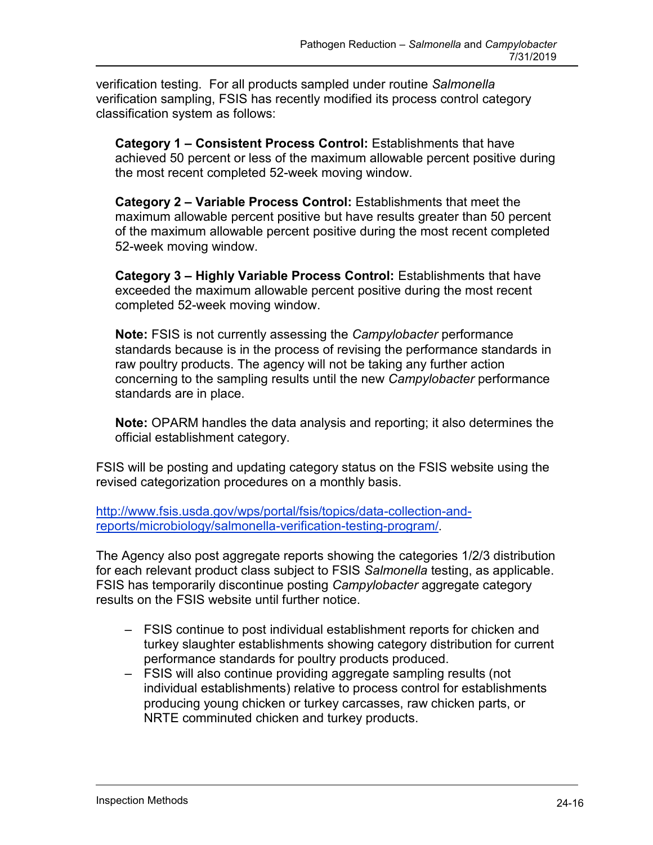verification testing. For all products sampled under routine *Salmonella*  verification sampling, FSIS has recently modified its process control category classification system as follows:

 achieved 50 percent or less of the maximum allowable percent positive during **Category 1 – Consistent Process Control:** Establishments that have the most recent completed 52-week moving window.

**Category 2 – Variable Process Control:** Establishments that meet the maximum allowable percent positive but have results greater than 50 percent of the maximum allowable percent positive during the most recent completed 52-week moving window.

**Category 3 – Highly Variable Process Control:** Establishments that have exceeded the maximum allowable percent positive during the most recent completed 52-week moving window.

**Note:** FSIS is not currently assessing the *Campylobacter* performance standards because is in the process of revising the performance standards in raw poultry products. The agency will not be taking any further action concerning to the sampling results until the new *Campylobacter* performance standards are in place.

**Note:** OPARM handles the data analysis and reporting; it also determines the official establishment category.

FSIS will be posting and updating category status on the FSIS website using the revised categorization procedures on a monthly basis.

[http://www.fsis.usda.gov/wps/portal/fsis/topics/data-collection-and](http://www.fsis.usda.gov/wps/portal/fsis/topics/data-collection-and-reports/microbiology/salmonella-verification-testing-program)[reports/microbiology/salmonella-verification-testing-program/](http://www.fsis.usda.gov/wps/portal/fsis/topics/data-collection-and-reports/microbiology/salmonella-verification-testing-program).

 The Agency also post aggregate reports showing the categories 1/2/3 distribution for each relevant product class subject to FSIS *Salmonella* testing, as applicable. FSIS has temporarily discontinue posting *Campylobacter* aggregate category results on the FSIS website until further notice.

- FSIS continue to post individual establishment reports for chicken and turkey slaughter establishments showing category distribution for current performance standards for poultry products produced.
- FSIS will also continue providing aggregate sampling results (not individual establishments) relative to process control for establishments producing young chicken or turkey carcasses, raw chicken parts, or NRTE comminuted chicken and turkey products.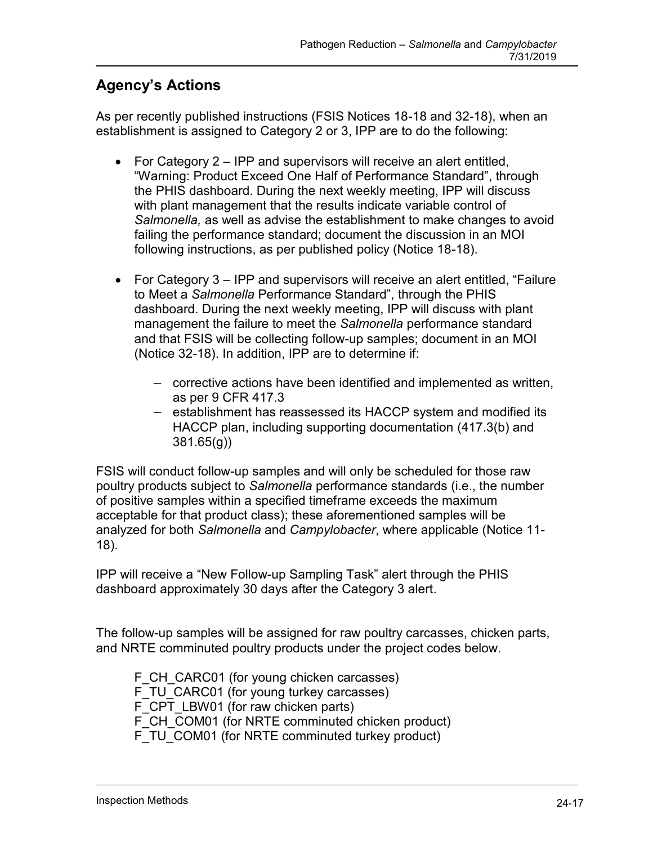# **Agency's Actions**

As per recently published instructions (FSIS Notices 18-18 and 32-18), when an establishment is assigned to Category 2 or 3, IPP are to do the following:

- failing the performance standard; document the discussion in an MOI • For Category 2 – IPP and supervisors will receive an alert entitled, "Warning: Product Exceed One Half of Performance Standard", through the PHIS dashboard. During the next weekly meeting, IPP will discuss with plant management that the results indicate variable control of *Salmonella,* as well as advise the establishment to make changes to avoid following instructions, as per published policy (Notice 18-18).
- to Meet a *Salmonella* Performance Standard", through the PHIS management the failure to meet the *Salmonella* performance standard and that FSIS will be collecting follow-up samples; document in an MOI • For Category 3 – IPP and supervisors will receive an alert entitled, "Failure dashboard. During the next weekly meeting, IPP will discuss with plant (Notice 32-18). In addition, IPP are to determine if:
	- corrective actions have been identified and implemented as written, as per 9 CFR 417.3
	- establishment has reassessed its HACCP system and modified its HACCP plan, including supporting documentation (417.3(b) and 381.65(g))

 of positive samples within a specified timeframe exceeds the maximum FSIS will conduct follow-up samples and will only be scheduled for those raw poultry products subject to *Salmonella* performance standards (i.e., the number acceptable for that product class); these aforementioned samples will be analyzed for both *Salmonella* and *Campylobacter*, where applicable (Notice 11- 18).

 IPP will receive a "New Follow-up Sampling Task" alert through the PHIS dashboard approximately 30 days after the Category 3 alert.

The follow-up samples will be assigned for raw poultry carcasses, chicken parts, and NRTE comminuted poultry products under the project codes below.

F CH CARC01 (for young chicken carcasses) F\_TU\_CARC01 (for young turkey carcasses) F\_CPT\_LBW01 (for raw chicken parts) F\_CH\_COM01 (for NRTE comminuted chicken product) F\_TU\_COM01 (for NRTE comminuted turkey product)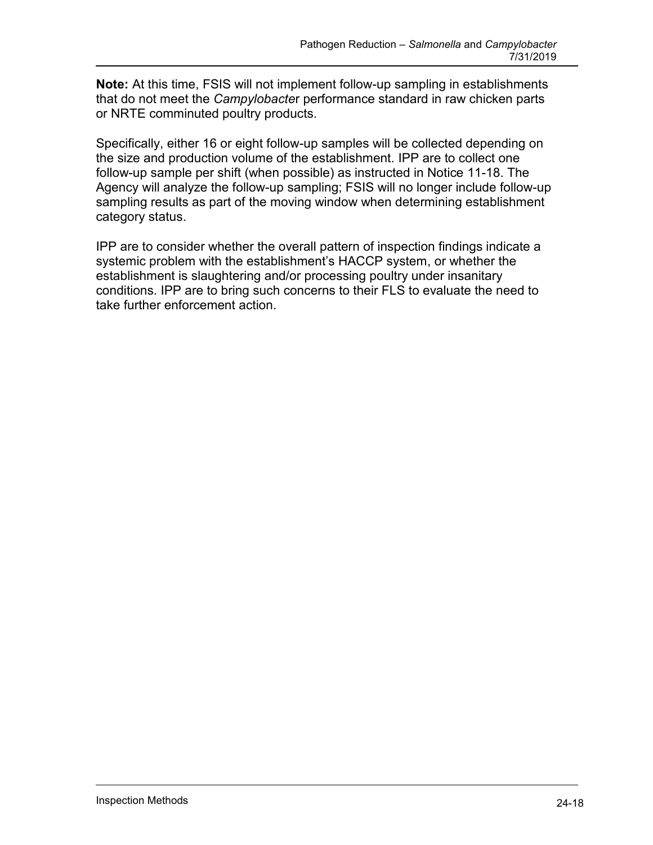**Note:** At this time, FSIS will not implement follow-up sampling in establishments that do not meet the *Campylobacte*r performance standard in raw chicken parts or NRTE comminuted poultry products.

 the size and production volume of the establishment. IPP are to collect one Specifically, either 16 or eight follow-up samples will be collected depending on follow-up sample per shift (when possible) as instructed in Notice 11-18. The Agency will analyze the follow-up sampling; FSIS will no longer include follow-up sampling results as part of the moving window when determining establishment category status.

 systemic problem with the establishment's HACCP system, or whether the conditions. IPP are to bring such concerns to their FLS to evaluate the need to IPP are to consider whether the overall pattern of inspection findings indicate a establishment is slaughtering and/or processing poultry under insanitary take further enforcement action.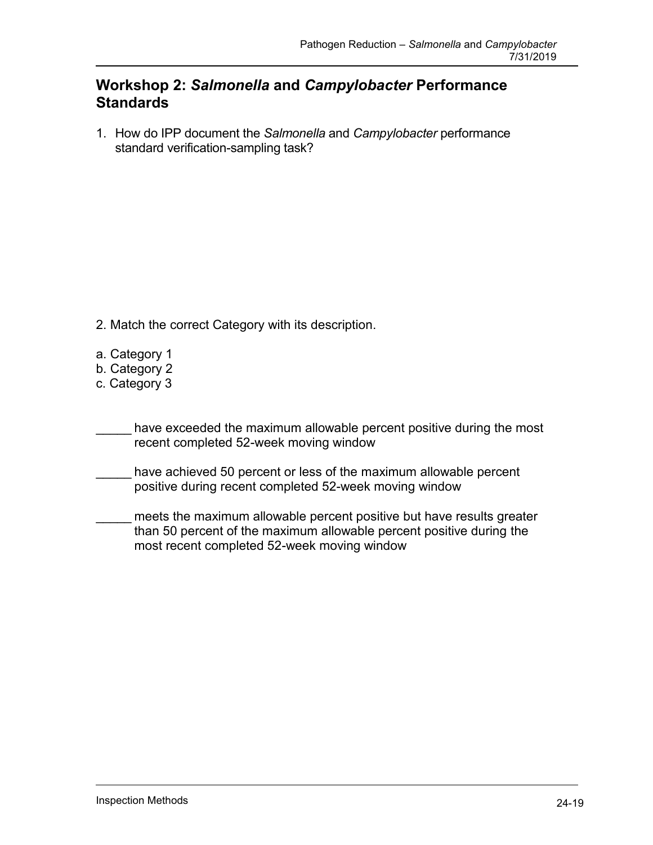### **Workshop 2:** *Salmonella* **and** *Campylobacter* **Performance Standards**

 1. How do IPP document the *Salmonella* and *Campylobacter* performance standard verification-sampling task?

- 2. Match the correct Category with its description.
- a. Category 1
- b. Category 2
- c. Category 3
- have exceeded the maximum allowable percent positive during the most recent completed 52-week moving window
- \_\_\_\_\_ have achieved 50 percent or less of the maximum allowable percent positive during recent completed 52-week moving window
- meets the maximum allowable percent positive but have results greater than 50 percent of the maximum allowable percent positive during the most recent completed 52-week moving window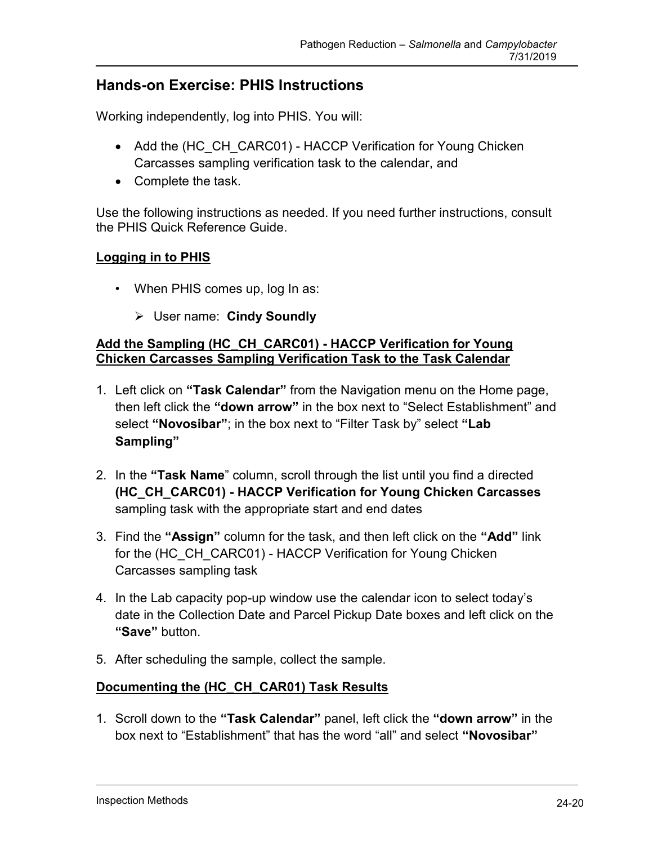## **Hands-on Exercise: PHIS Instructions**

Working independently, log into PHIS. You will:

- Add the (HC CH CARC01) HACCP Verification for Young Chicken Carcasses sampling verification task to the calendar, and
- Complete the task.

Use the following instructions as needed. If you need further instructions, consult the PHIS Quick Reference Guide.

#### **Logging in to PHIS**

- • When PHIS comes up, log In as:
	- User name: **Cindy Soundly**

#### **Add the Sampling (HC\_CH\_CARC01) - HACCP Verification for Young Chicken Carcasses Sampling Verification Task to the Task Calendar**

- 1. Left click on **"Task Calendar"** from the Navigation menu on the Home page, then left click the **"down arrow"** in the box next to "Select Establishment" and select **"Novosibar"**; in the box next to "Filter Task by" select **"Lab Sampling"**
- 2. In the **"Task Name**" column, scroll through the list until you find a directed sampling task with the appropriate start and end dates **(HC\_CH\_CARC01) - HACCP Verification for Young Chicken Carcasses**
- 3. Find the **"Assign"** column for the task, and then left click on the **"Add"** link for the (HC\_CH\_CARC01) - HACCP Verification for Young Chicken Carcasses sampling task
- 4. In the Lab capacity pop-up window use the calendar icon to select today's date in the Collection Date and Parcel Pickup Date boxes and left click on the **"Save"** button.
- 5. After scheduling the sample, collect the sample.

#### **Documenting the (HC\_CH\_CAR01) Task Results**

1. Scroll down to the **"Task Calendar"** panel, left click the **"down arrow"** in the box next to "Establishment" that has the word "all" and select **"Novosibar"**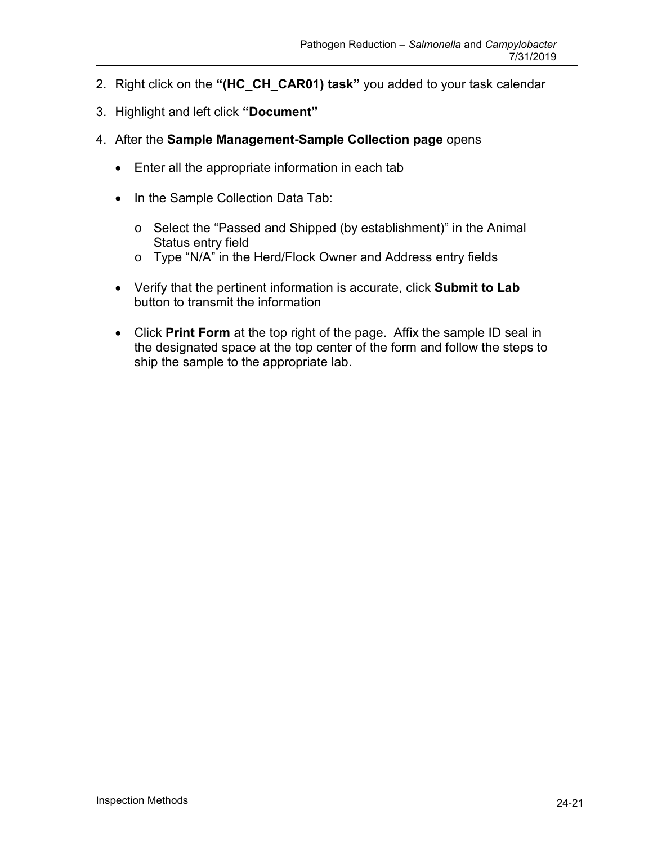- 2. Right click on the **"(HC\_CH\_CAR01) task"** you added to your task calendar
- 3. Highlight and left click **"Document"**
- 4. After the **Sample Management-Sample Collection page** opens
	- Enter all the appropriate information in each tab
	- In the Sample Collection Data Tab:
		- o Select the "Passed and Shipped (by establishment)" in the Animal Status entry field
		- o Type "N/A" in the Herd/Flock Owner and Address entry fields
	- Verify that the pertinent information is accurate, click **Submit to Lab**  button to transmit the information
	- Click **Print Form** at the top right of the page. Affix the sample ID seal in the designated space at the top center of the form and follow the steps to ship the sample to the appropriate lab.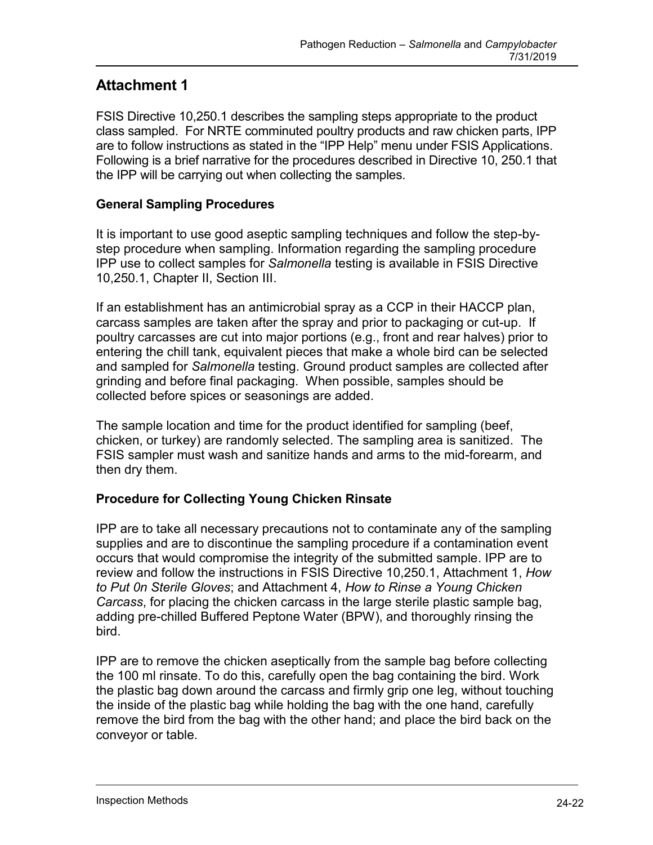## **Attachment 1**

 FSIS Directive 10,250.1 describes the sampling steps appropriate to the product class sampled. For NRTE comminuted poultry products and raw chicken parts, IPP are to follow instructions as stated in the "IPP Help" menu under FSIS Applications. Following is a brief narrative for the procedures described in Directive 10, 250.1 that the IPP will be carrying out when collecting the samples.

#### **General Sampling Procedures**

 10,250.1, Chapter II, Section III. It is important to use good aseptic sampling techniques and follow the step-bystep procedure when sampling. Information regarding the sampling procedure IPP use to collect samples for *Salmonella* testing is available in FSIS Directive

If an establishment has an antimicrobial spray as a CCP in their HACCP plan, carcass samples are taken after the spray and prior to packaging or cut-up. If poultry carcasses are cut into major portions (e.g., front and rear halves) prior to entering the chill tank, equivalent pieces that make a whole bird can be selected and sampled for *Salmonella* testing. Ground product samples are collected after grinding and before final packaging. When possible, samples should be collected before spices or seasonings are added.

 The sample location and time for the product identified for sampling (beef, FSIS sampler must wash and sanitize hands and arms to the mid-forearm, and chicken, or turkey) are randomly selected. The sampling area is sanitized. The then dry them.

#### **Procedure for Collecting Young Chicken Rinsate**

 IPP are to take all necessary precautions not to contaminate any of the sampling occurs that would compromise the integrity of the submitted sample. IPP are to  *to Put 0n Sterile Gloves*; and Attachment 4, *How to Rinse a Young Chicken*  supplies and are to discontinue the sampling procedure if a contamination event review and follow the instructions in FSIS Directive 10,250.1, Attachment 1, *How Carcass*, for placing the chicken carcass in the large sterile plastic sample bag, adding pre-chilled Buffered Peptone Water (BPW), and thoroughly rinsing the bird.

 IPP are to remove the chicken aseptically from the sample bag before collecting the 100 ml rinsate. To do this, carefully open the bag containing the bird. Work the plastic bag down around the carcass and firmly grip one leg, without touching the inside of the plastic bag while holding the bag with the one hand, carefully remove the bird from the bag with the other hand; and place the bird back on the conveyor or table.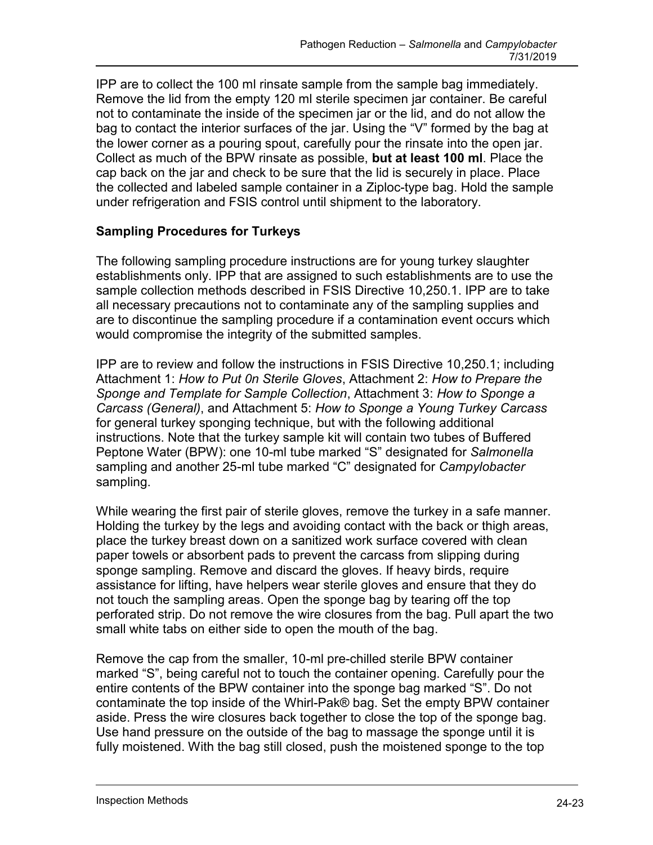IPP are to collect the 100 ml rinsate sample from the sample bag immediately. not to contaminate the inside of the specimen jar or the lid, and do not allow the Collect as much of the BPW rinsate as possible, **but at least 100 ml**. Place the Remove the lid from the empty 120 ml sterile specimen jar container. Be careful bag to contact the interior surfaces of the jar. Using the "V" formed by the bag at the lower corner as a pouring spout, carefully pour the rinsate into the open jar. cap back on the jar and check to be sure that the lid is securely in place. Place the collected and labeled sample container in a Ziploc-type bag. Hold the sample under refrigeration and FSIS control until shipment to the laboratory.

### **Sampling Procedures for Turkeys**

 establishments only. IPP that are assigned to such establishments are to use the The following sampling procedure instructions are for young turkey slaughter sample collection methods described in FSIS Directive 10,250.1. IPP are to take all necessary precautions not to contaminate any of the sampling supplies and are to discontinue the sampling procedure if a contamination event occurs which would compromise the integrity of the submitted samples.

 Attachment 1: *How to Put 0n Sterile Gloves*, Attachment 2: *How to Prepare the Sponge and Template for Sample Collection*, Attachment 3: *How to Sponge a*  instructions. Note that the turkey sample kit will contain two tubes of Buffered IPP are to review and follow the instructions in FSIS Directive 10,250.1; including *Carcass (General)*, and Attachment 5: *How to Sponge a Young Turkey Carcass*  for general turkey sponging technique, but with the following additional Peptone Water (BPW): one 10-ml tube marked "S" designated for *Salmonella*  sampling and another 25-ml tube marked "C" designated for *Campylobacter*  sampling.

 While wearing the first pair of sterile gloves, remove the turkey in a safe manner. not touch the sampling areas. Open the sponge bag by tearing off the top perforated strip. Do not remove the wire closures from the bag. Pull apart the two small white tabs on either side to open the mouth of the bag. Holding the turkey by the legs and avoiding contact with the back or thigh areas, place the turkey breast down on a sanitized work surface covered with clean paper towels or absorbent pads to prevent the carcass from slipping during sponge sampling. Remove and discard the gloves. If heavy birds, require assistance for lifting, have helpers wear sterile gloves and ensure that they do

 entire contents of the BPW container into the sponge bag marked "S". Do not Use hand pressure on the outside of the bag to massage the sponge until it is fully moistened. With the bag still closed, push the moistened sponge to the top Remove the cap from the smaller, 10-ml pre-chilled sterile BPW container marked "S", being careful not to touch the container opening. Carefully pour the contaminate the top inside of the Whirl-Pak® bag. Set the empty BPW container aside. Press the wire closures back together to close the top of the sponge bag.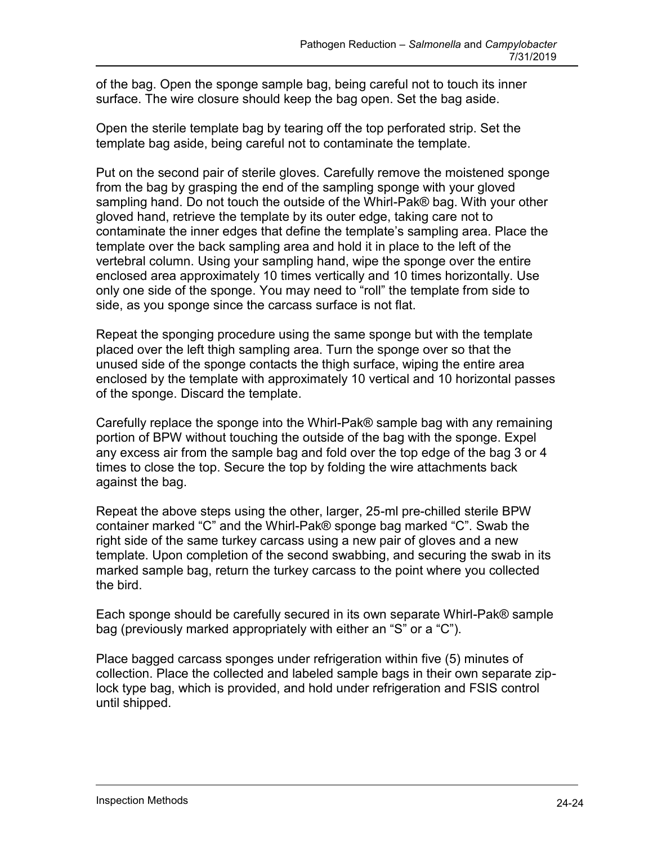of the bag. Open the sponge sample bag, being careful not to touch its inner surface. The wire closure should keep the bag open. Set the bag aside.

Open the sterile template bag by tearing off the top perforated strip. Set the template bag aside, being careful not to contaminate the template.

 from the bag by grasping the end of the sampling sponge with your gloved template over the back sampling area and hold it in place to the left of the Put on the second pair of sterile gloves*.* Carefully remove the moistened sponge sampling hand. Do not touch the outside of the Whirl-Pak® bag. With your other gloved hand, retrieve the template by its outer edge, taking care not to contaminate the inner edges that define the template's sampling area. Place the vertebral column. Using your sampling hand, wipe the sponge over the entire enclosed area approximately 10 times vertically and 10 times horizontally. Use only one side of the sponge. You may need to "roll" the template from side to side, as you sponge since the carcass surface is not flat.

 unused side of the sponge contacts the thigh surface, wiping the entire area Repeat the sponging procedure using the same sponge but with the template placed over the left thigh sampling area. Turn the sponge over so that the enclosed by the template with approximately 10 vertical and 10 horizontal passes of the sponge. Discard the template.

 portion of BPW without touching the outside of the bag with the sponge. Expel Carefully replace the sponge into the Whirl-Pak® sample bag with any remaining any excess air from the sample bag and fold over the top edge of the bag 3 or 4 times to close the top. Secure the top by folding the wire attachments back against the bag.

Repeat the above steps using the other, larger, 25-ml pre-chilled sterile BPW container marked "C" and the Whirl-Pak® sponge bag marked "C". Swab the right side of the same turkey carcass using a new pair of gloves and a new template. Upon completion of the second swabbing, and securing the swab in its marked sample bag, return the turkey carcass to the point where you collected the bird.

Each sponge should be carefully secured in its own separate Whirl-Pak® sample bag (previously marked appropriately with either an "S" or a "C").

Place bagged carcass sponges under refrigeration within five (5) minutes of collection. Place the collected and labeled sample bags in their own separate ziplock type bag, which is provided, and hold under refrigeration and FSIS control until shipped.